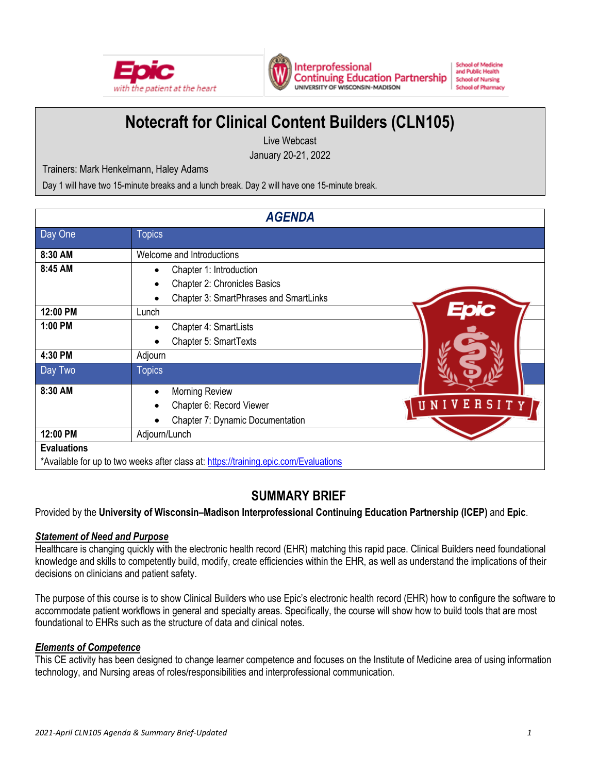



Interprofessional **Continuing Education Partnership** UNIVERSITY OF WISCONSIN-MADISON

**School of Medicine** and Public Health **School of Nursing School of Pharmacy** 

# **Notecraft for Clinical Content Builders (CLN105)**

Live Webcast January 20-21, 2022

Trainers: Mark Henkelmann, Haley Adams

Day 1 will have two 15-minute breaks and a lunch break. Day 2 will have one 15-minute break.

| <b>AGENDA</b>                                                                        |                                                         |                |  |  |
|--------------------------------------------------------------------------------------|---------------------------------------------------------|----------------|--|--|
| Day One                                                                              | <b>Topics</b>                                           |                |  |  |
| 8:30 AM                                                                              | Welcome and Introductions                               |                |  |  |
| 8:45 AM                                                                              | Chapter 1: Introduction<br>Chapter 2: Chronicles Basics |                |  |  |
|                                                                                      | Chapter 3: SmartPhrases and SmartLinks                  |                |  |  |
| 12:00 PM                                                                             | Lunch                                                   |                |  |  |
| 1:00 PM                                                                              | Chapter 4: SmartLists                                   |                |  |  |
|                                                                                      | Chapter 5: SmartTexts                                   |                |  |  |
| 4:30 PM                                                                              | Adjourn                                                 |                |  |  |
| Day Two                                                                              | <b>Topics</b>                                           |                |  |  |
| 8:30 AM                                                                              | <b>Morning Review</b>                                   |                |  |  |
|                                                                                      | Chapter 6: Record Viewer                                | SITY<br>R<br>Ε |  |  |
|                                                                                      | Chapter 7: Dynamic Documentation                        |                |  |  |
| 12:00 PM                                                                             | Adjourn/Lunch                                           |                |  |  |
| <b>Evaluations</b>                                                                   |                                                         |                |  |  |
| *Available for up to two weeks after class at: https://training.epic.com/Evaluations |                                                         |                |  |  |

# **SUMMARY BRIEF**

Provided by the **University of Wisconsin–Madison Interprofessional Continuing Education Partnership (ICEP)** and **Epic**.

# *Statement of Need and Purpose*

Healthcare is changing quickly with the electronic health record (EHR) matching this rapid pace. Clinical Builders need foundational knowledge and skills to competently build, modify, create efficiencies within the EHR, as well as understand the implications of their decisions on clinicians and patient safety.

The purpose of this course is to show Clinical Builders who use Epic's electronic health record (EHR) how to configure the software to accommodate patient workflows in general and specialty areas. Specifically, the course will show how to build tools that are most foundational to EHRs such as the structure of data and clinical notes.

# *Elements of Competence*

This CE activity has been designed to change learner competence and focuses on the Institute of Medicine area of using information technology, and Nursing areas of roles/responsibilities and interprofessional communication.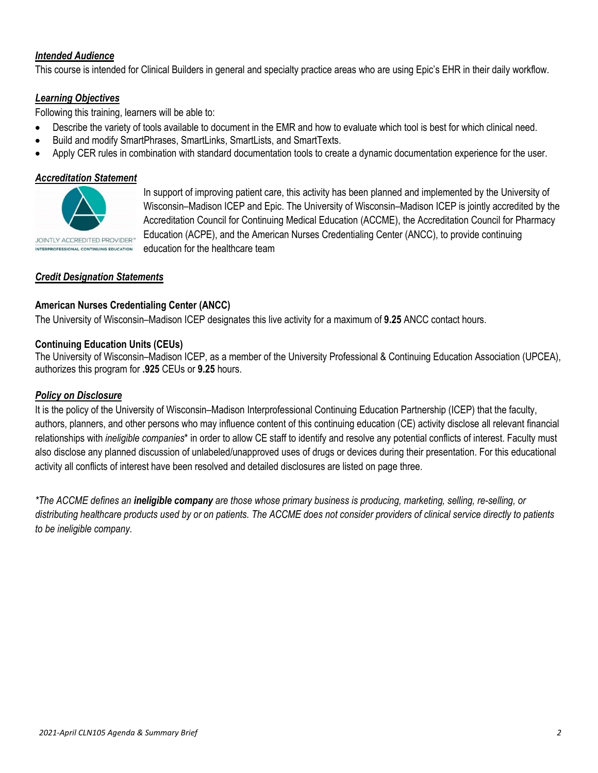# *Intended Audience*

This course is intended for Clinical Builders in general and specialty practice areas who are using Epic's EHR in their daily workflow.

#### *Learning Objectives*

Following this training, learners will be able to:

- Describe the variety of tools available to document in the EMR and how to evaluate which tool is best for which clinical need.
- Build and modify SmartPhrases, SmartLinks, SmartLists, and SmartTexts.
- Apply CER rules in combination with standard documentation tools to create a dynamic documentation experience for the user.

#### *Accreditation Statement*



In support of improving patient care, this activity has been planned and implemented by the University of Wisconsin–Madison ICEP and Epic. The University of Wisconsin–Madison ICEP is jointly accredited by the Accreditation Council for Continuing Medical Education (ACCME), the Accreditation Council for Pharmacy Education (ACPE), and the American Nurses Credentialing Center (ANCC), to provide continuing education for the healthcare team

# *Credit Designation Statements*

#### **American Nurses Credentialing Center (ANCC)**

The University of Wisconsin–Madison ICEP designates this live activity for a maximum of **9.25** ANCC contact hours.

#### **Continuing Education Units (CEUs)**

The University of Wisconsin–Madison ICEP, as a member of the University Professional & Continuing Education Association (UPCEA), authorizes this program for **.925** CEUs or **9.25** hours.

#### *Policy on Disclosure*

It is the policy of the University of Wisconsin–Madison Interprofessional Continuing Education Partnership (ICEP) that the faculty, authors, planners, and other persons who may influence content of this continuing education (CE) activity disclose all relevant financial relationships with *ineligible companies*\* in order to allow CE staff to identify and resolve any potential conflicts of interest. Faculty must also disclose any planned discussion of unlabeled/unapproved uses of drugs or devices during their presentation. For this educational activity all conflicts of interest have been resolved and detailed disclosures are listed on page three.

*\*The ACCME defines an ineligible company are those whose primary business is producing, marketing, selling, re-selling, or distributing healthcare products used by or on patients. The ACCME does not consider providers of clinical service directly to patients to be ineligible company.*